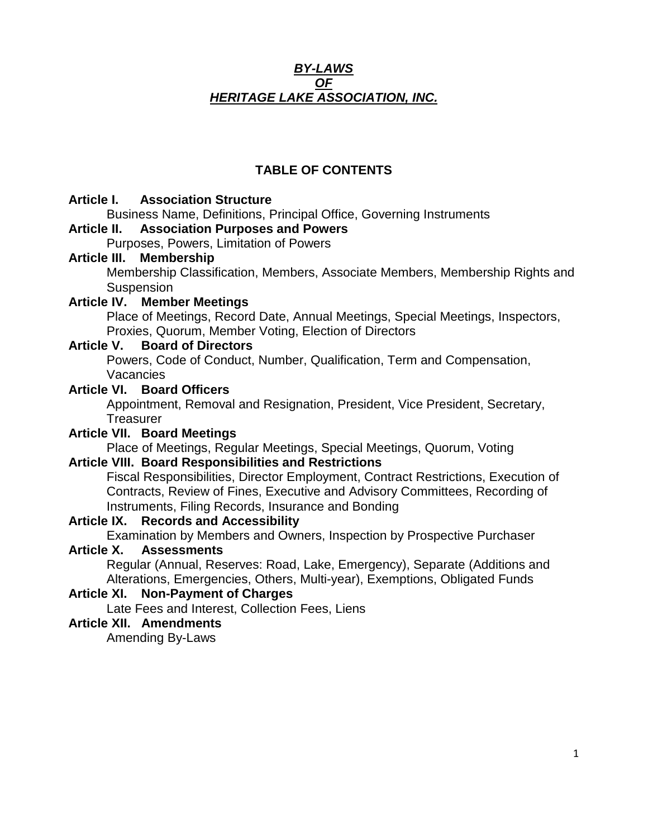### *BY-LAWS OF HERITAGE LAKE ASSOCIATION, INC.*

# **TABLE OF CONTENTS**

## **Article I. Association Structure**

Business Name, Definitions, Principal Office, Governing Instruments

### **Article II. Association Purposes and Powers**

Purposes, Powers, Limitation of Powers

### **Article III. Membership**

Membership Classification, Members, Associate Members, Membership Rights and **Suspension** 

# **Article IV. Member Meetings**

Place of Meetings, Record Date, Annual Meetings, Special Meetings, Inspectors, Proxies, Quorum, Member Voting, Election of Directors

# **Article V. Board of Directors**

Powers, Code of Conduct, Number, Qualification, Term and Compensation, Vacancies

## **Article VI. Board Officers**

Appointment, Removal and Resignation, President, Vice President, Secretary, **Treasurer** 

# **Article VII. Board Meetings**

Place of Meetings, Regular Meetings, Special Meetings, Quorum, Voting

# **Article VIII. Board Responsibilities and Restrictions**

Fiscal Responsibilities, Director Employment, Contract Restrictions, Execution of Contracts, Review of Fines, Executive and Advisory Committees, Recording of Instruments, Filing Records, Insurance and Bonding

### **Article IX. Records and Accessibility**

Examination by Members and Owners, Inspection by Prospective Purchaser

# **Article X. Assessments**

Regular (Annual, Reserves: Road, Lake, Emergency), Separate (Additions and Alterations, Emergencies, Others, Multi-year), Exemptions, Obligated Funds

# **Article XI. Non-Payment of Charges**

Late Fees and Interest, Collection Fees, Liens

# **Article XII. Amendments**

Amending By-Laws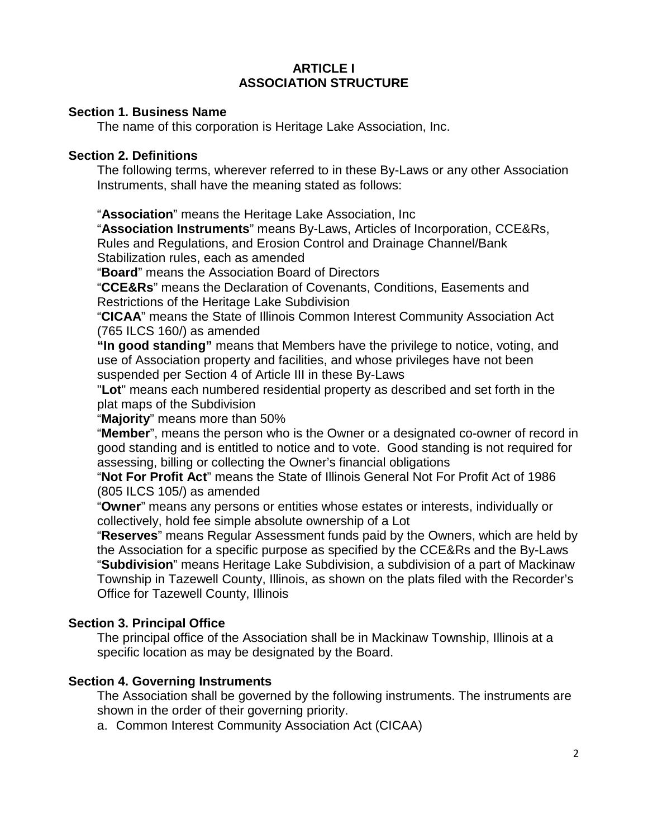## **ARTICLE I ASSOCIATION STRUCTURE**

### **Section 1. Business Name**

The name of this corporation is Heritage Lake Association, Inc.

### **Section 2. Definitions**

The following terms, wherever referred to in these By-Laws or any other Association Instruments, shall have the meaning stated as follows:

"**Association**" means the Heritage Lake Association, Inc

"**Association Instruments**" means By-Laws, Articles of Incorporation, CCE&Rs, Rules and Regulations, and Erosion Control and Drainage Channel/Bank Stabilization rules, each as amended

"**Board**" means the Association Board of Directors

"**CCE&Rs**" means the Declaration of Covenants, Conditions, Easements and Restrictions of the Heritage Lake Subdivision

"**CICAA**" means the State of Illinois Common Interest Community Association Act (765 ILCS 160/) as amended

**"In good standing"** means that Members have the privilege to notice, voting, and use of Association property and facilities, and whose privileges have not been suspended per Section 4 of Article III in these By-Laws

"**Lot**" means each numbered residential property as described and set forth in the plat maps of the Subdivision

"**Majority**" means more than 50%

"**Member**", means the person who is the Owner or a designated co-owner of record in good standing and is entitled to notice and to vote. Good standing is not required for assessing, billing or collecting the Owner's financial obligations

"**Not For Profit Act**" means the State of Illinois General Not For Profit Act of 1986 (805 ILCS 105/) as amended

"**Owner**" means any persons or entities whose estates or interests, individually or collectively, hold fee simple absolute ownership of a Lot

"**Reserves**" means Regular Assessment funds paid by the Owners, which are held by the Association for a specific purpose as specified by the CCE&Rs and the By-Laws "**Subdivision**" means Heritage Lake Subdivision, a subdivision of a part of Mackinaw Township in Tazewell County, Illinois, as shown on the plats filed with the Recorder's Office for Tazewell County, Illinois

### **Section 3. Principal Office**

The principal office of the Association shall be in Mackinaw Township, Illinois at a specific location as may be designated by the Board.

### **Section 4. Governing Instruments**

The Association shall be governed by the following instruments. The instruments are shown in the order of their governing priority.

a. Common Interest Community Association Act (CICAA)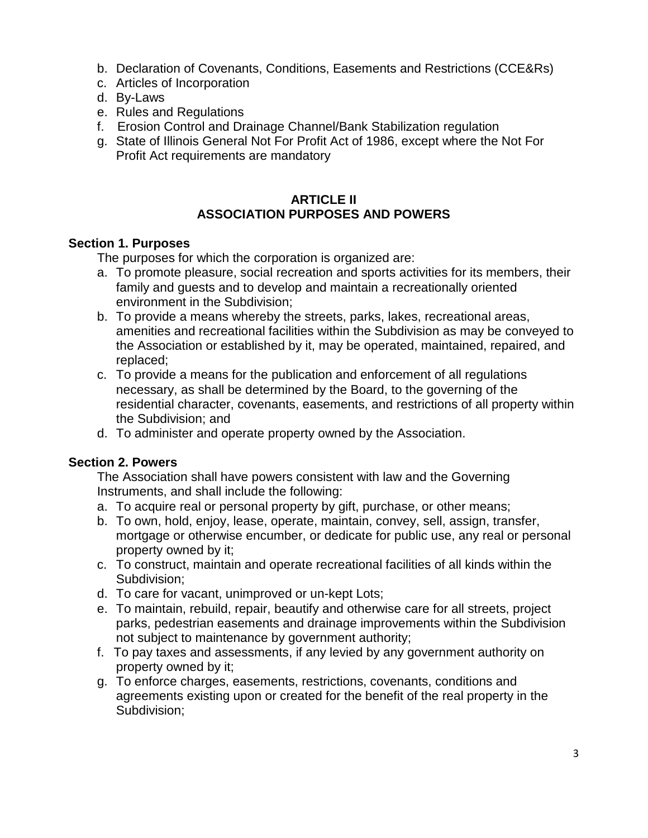- b. Declaration of Covenants, Conditions, Easements and Restrictions (CCE&Rs)
- c. Articles of Incorporation
- d. By-Laws
- e. Rules and Regulations
- f. Erosion Control and Drainage Channel/Bank Stabilization regulation
- g. State of Illinois General Not For Profit Act of 1986, except where the Not For Profit Act requirements are mandatory

## **ARTICLE II ASSOCIATION PURPOSES AND POWERS**

### **Section 1. Purposes**

The purposes for which the corporation is organized are:

- a. To promote pleasure, social recreation and sports activities for its members, their family and guests and to develop and maintain a recreationally oriented environment in the Subdivision;
- b. To provide a means whereby the streets, parks, lakes, recreational areas, amenities and recreational facilities within the Subdivision as may be conveyed to the Association or established by it, may be operated, maintained, repaired, and replaced;
- c. To provide a means for the publication and enforcement of all regulations necessary, as shall be determined by the Board, to the governing of the residential character, covenants, easements, and restrictions of all property within the Subdivision; and
- d. To administer and operate property owned by the Association.

# **Section 2. Powers**

The Association shall have powers consistent with law and the Governing Instruments, and shall include the following:

- a. To acquire real or personal property by gift, purchase, or other means;
- b. To own, hold, enjoy, lease, operate, maintain, convey, sell, assign, transfer, mortgage or otherwise encumber, or dedicate for public use, any real or personal property owned by it;
- c. To construct, maintain and operate recreational facilities of all kinds within the Subdivision;
- d. To care for vacant, unimproved or un-kept Lots;
- e. To maintain, rebuild, repair, beautify and otherwise care for all streets, project parks, pedestrian easements and drainage improvements within the Subdivision not subject to maintenance by government authority;
- f. To pay taxes and assessments, if any levied by any government authority on property owned by it;
- g. To enforce charges, easements, restrictions, covenants, conditions and agreements existing upon or created for the benefit of the real property in the Subdivision;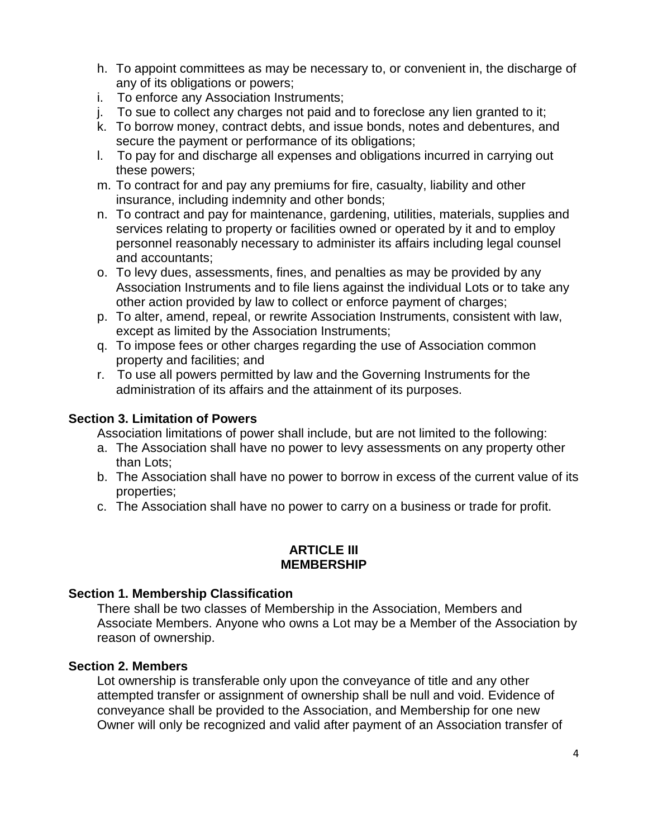- h. To appoint committees as may be necessary to, or convenient in, the discharge of any of its obligations or powers;
- i. To enforce any Association Instruments;
- j. To sue to collect any charges not paid and to foreclose any lien granted to it;
- k. To borrow money, contract debts, and issue bonds, notes and debentures, and secure the payment or performance of its obligations;
- l. To pay for and discharge all expenses and obligations incurred in carrying out these powers;
- m. To contract for and pay any premiums for fire, casualty, liability and other insurance, including indemnity and other bonds;
- n. To contract and pay for maintenance, gardening, utilities, materials, supplies and services relating to property or facilities owned or operated by it and to employ personnel reasonably necessary to administer its affairs including legal counsel and accountants;
- o. To levy dues, assessments, fines, and penalties as may be provided by any Association Instruments and to file liens against the individual Lots or to take any other action provided by law to collect or enforce payment of charges;
- p. To alter, amend, repeal, or rewrite Association Instruments, consistent with law, except as limited by the Association Instruments;
- q. To impose fees or other charges regarding the use of Association common property and facilities; and
- r. To use all powers permitted by law and the Governing Instruments for the administration of its affairs and the attainment of its purposes.

## **Section 3. Limitation of Powers**

Association limitations of power shall include, but are not limited to the following:

- a. The Association shall have no power to levy assessments on any property other than Lots;
- b. The Association shall have no power to borrow in excess of the current value of its properties;
- c. The Association shall have no power to carry on a business or trade for profit.

### **ARTICLE III MEMBERSHIP**

### **Section 1. Membership Classification**

There shall be two classes of Membership in the Association, Members and Associate Members. Anyone who owns a Lot may be a Member of the Association by reason of ownership.

### **Section 2. Members**

Lot ownership is transferable only upon the conveyance of title and any other attempted transfer or assignment of ownership shall be null and void. Evidence of conveyance shall be provided to the Association, and Membership for one new Owner will only be recognized and valid after payment of an Association transfer of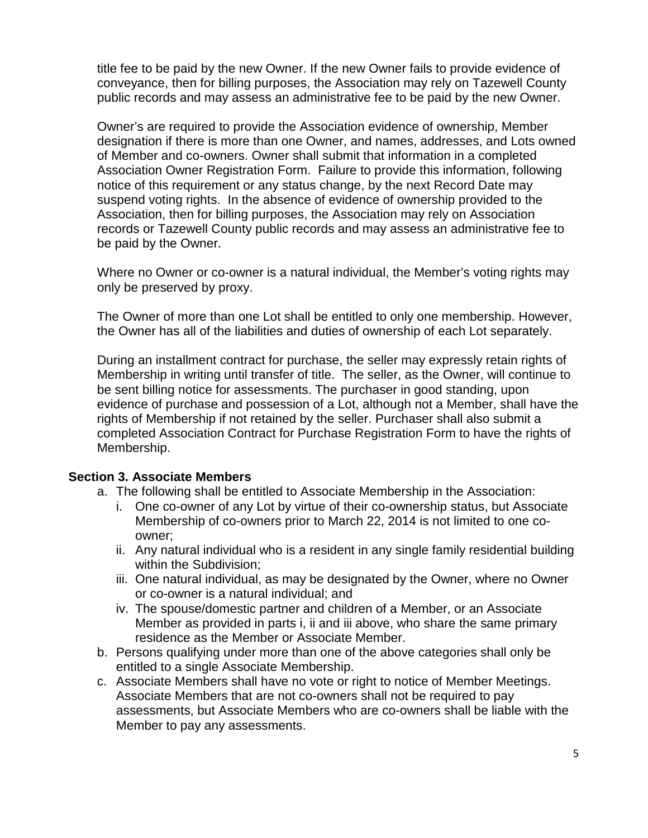title fee to be paid by the new Owner. If the new Owner fails to provide evidence of conveyance, then for billing purposes, the Association may rely on Tazewell County public records and may assess an administrative fee to be paid by the new Owner.

Owner's are required to provide the Association evidence of ownership, Member designation if there is more than one Owner, and names, addresses, and Lots owned of Member and co-owners. Owner shall submit that information in a completed Association Owner Registration Form. Failure to provide this information, following notice of this requirement or any status change, by the next Record Date may suspend voting rights. In the absence of evidence of ownership provided to the Association, then for billing purposes, the Association may rely on Association records or Tazewell County public records and may assess an administrative fee to be paid by the Owner.

Where no Owner or co-owner is a natural individual, the Member's voting rights may only be preserved by proxy.

The Owner of more than one Lot shall be entitled to only one membership. However, the Owner has all of the liabilities and duties of ownership of each Lot separately.

During an installment contract for purchase, the seller may expressly retain rights of Membership in writing until transfer of title. The seller, as the Owner, will continue to be sent billing notice for assessments. The purchaser in good standing, upon evidence of purchase and possession of a Lot, although not a Member, shall have the rights of Membership if not retained by the seller. Purchaser shall also submit a completed Association Contract for Purchase Registration Form to have the rights of Membership.

### **Section 3. Associate Members**

- a. The following shall be entitled to Associate Membership in the Association:
	- i. One co-owner of any Lot by virtue of their co-ownership status, but Associate Membership of co-owners prior to March 22, 2014 is not limited to one coowner;
	- ii. Any natural individual who is a resident in any single family residential building within the Subdivision;
	- iii. One natural individual, as may be designated by the Owner, where no Owner or co-owner is a natural individual; and
	- iv. The spouse/domestic partner and children of a Member, or an Associate Member as provided in parts i, ii and iii above, who share the same primary residence as the Member or Associate Member.
- b. Persons qualifying under more than one of the above categories shall only be entitled to a single Associate Membership.
- c. Associate Members shall have no vote or right to notice of Member Meetings. Associate Members that are not co-owners shall not be required to pay assessments, but Associate Members who are co-owners shall be liable with the Member to pay any assessments.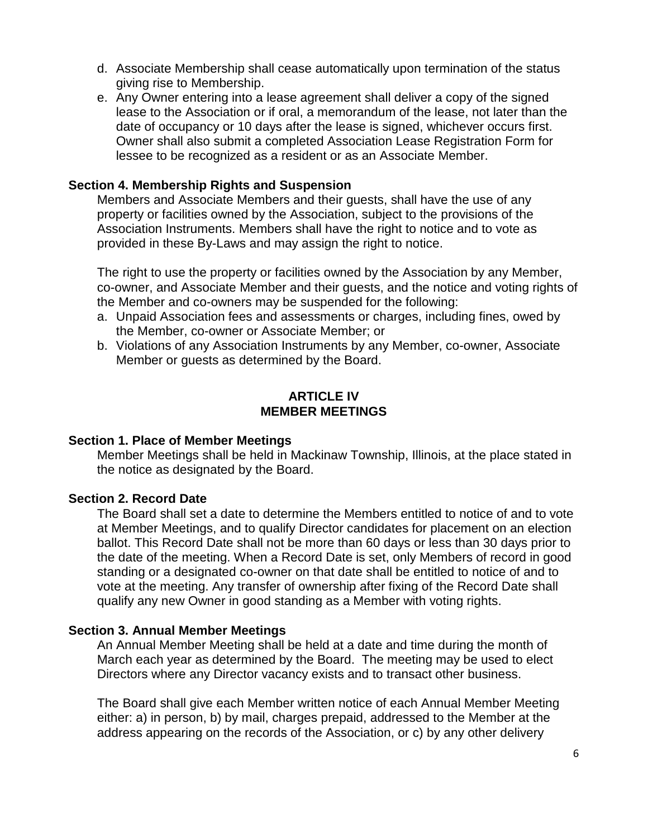- d. Associate Membership shall cease automatically upon termination of the status giving rise to Membership.
- e. Any Owner entering into a lease agreement shall deliver a copy of the signed lease to the Association or if oral, a memorandum of the lease, not later than the date of occupancy or 10 days after the lease is signed, whichever occurs first. Owner shall also submit a completed Association Lease Registration Form for lessee to be recognized as a resident or as an Associate Member.

#### **Section 4. Membership Rights and Suspension**

Members and Associate Members and their guests, shall have the use of any property or facilities owned by the Association, subject to the provisions of the Association Instruments. Members shall have the right to notice and to vote as provided in these By-Laws and may assign the right to notice.

The right to use the property or facilities owned by the Association by any Member, co-owner, and Associate Member and their guests, and the notice and voting rights of the Member and co-owners may be suspended for the following:

- a. Unpaid Association fees and assessments or charges, including fines, owed by the Member, co-owner or Associate Member; or
- b. Violations of any Association Instruments by any Member, co-owner, Associate Member or guests as determined by the Board.

### **ARTICLE IV MEMBER MEETINGS**

#### **Section 1. Place of Member Meetings**

Member Meetings shall be held in Mackinaw Township, Illinois, at the place stated in the notice as designated by the Board.

#### **Section 2. Record Date**

The Board shall set a date to determine the Members entitled to notice of and to vote at Member Meetings, and to qualify Director candidates for placement on an election ballot. This Record Date shall not be more than 60 days or less than 30 days prior to the date of the meeting. When a Record Date is set, only Members of record in good standing or a designated co-owner on that date shall be entitled to notice of and to vote at the meeting. Any transfer of ownership after fixing of the Record Date shall qualify any new Owner in good standing as a Member with voting rights.

#### **Section 3. Annual Member Meetings**

An Annual Member Meeting shall be held at a date and time during the month of March each year as determined by the Board. The meeting may be used to elect Directors where any Director vacancy exists and to transact other business.

The Board shall give each Member written notice of each Annual Member Meeting either: a) in person, b) by mail, charges prepaid, addressed to the Member at the address appearing on the records of the Association, or c) by any other delivery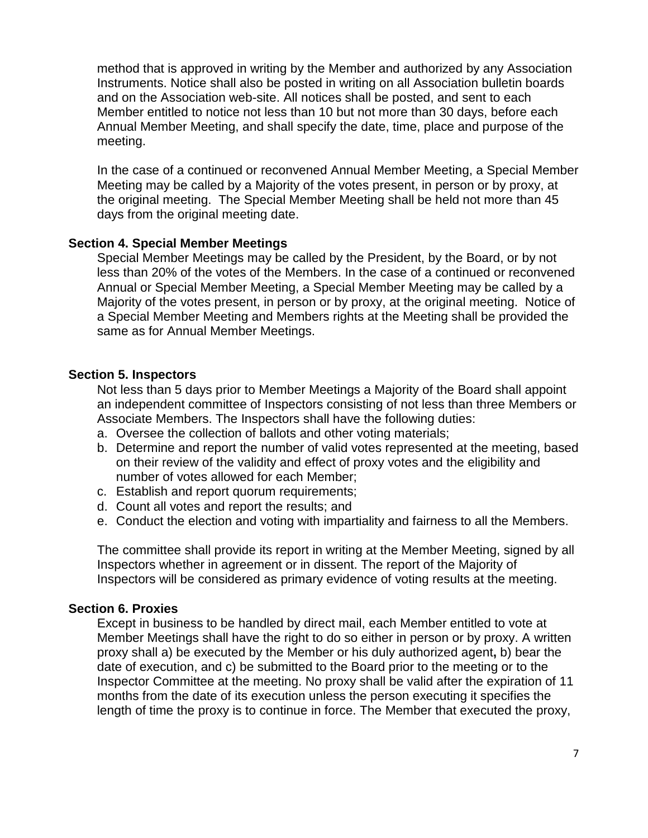method that is approved in writing by the Member and authorized by any Association Instruments. Notice shall also be posted in writing on all Association bulletin boards and on the Association web-site. All notices shall be posted, and sent to each Member entitled to notice not less than 10 but not more than 30 days, before each Annual Member Meeting, and shall specify the date, time, place and purpose of the meeting.

In the case of a continued or reconvened Annual Member Meeting, a Special Member Meeting may be called by a Majority of the votes present, in person or by proxy, at the original meeting. The Special Member Meeting shall be held not more than 45 days from the original meeting date.

### **Section 4. Special Member Meetings**

Special Member Meetings may be called by the President, by the Board, or by not less than 20% of the votes of the Members. In the case of a continued or reconvened Annual or Special Member Meeting, a Special Member Meeting may be called by a Majority of the votes present, in person or by proxy, at the original meeting. Notice of a Special Member Meeting and Members rights at the Meeting shall be provided the same as for Annual Member Meetings.

### **Section 5. Inspectors**

Not less than 5 days prior to Member Meetings a Majority of the Board shall appoint an independent committee of Inspectors consisting of not less than three Members or Associate Members. The Inspectors shall have the following duties:

- a. Oversee the collection of ballots and other voting materials;
- b. Determine and report the number of valid votes represented at the meeting, based on their review of the validity and effect of proxy votes and the eligibility and number of votes allowed for each Member;
- c. Establish and report quorum requirements;
- d. Count all votes and report the results; and
- e. Conduct the election and voting with impartiality and fairness to all the Members.

The committee shall provide its report in writing at the Member Meeting, signed by all Inspectors whether in agreement or in dissent. The report of the Majority of Inspectors will be considered as primary evidence of voting results at the meeting.

### **Section 6. Proxies**

Except in business to be handled by direct mail, each Member entitled to vote at Member Meetings shall have the right to do so either in person or by proxy. A written proxy shall a) be executed by the Member or his duly authorized agent**,** b) bear the date of execution, and c) be submitted to the Board prior to the meeting or to the Inspector Committee at the meeting. No proxy shall be valid after the expiration of 11 months from the date of its execution unless the person executing it specifies the length of time the proxy is to continue in force. The Member that executed the proxy,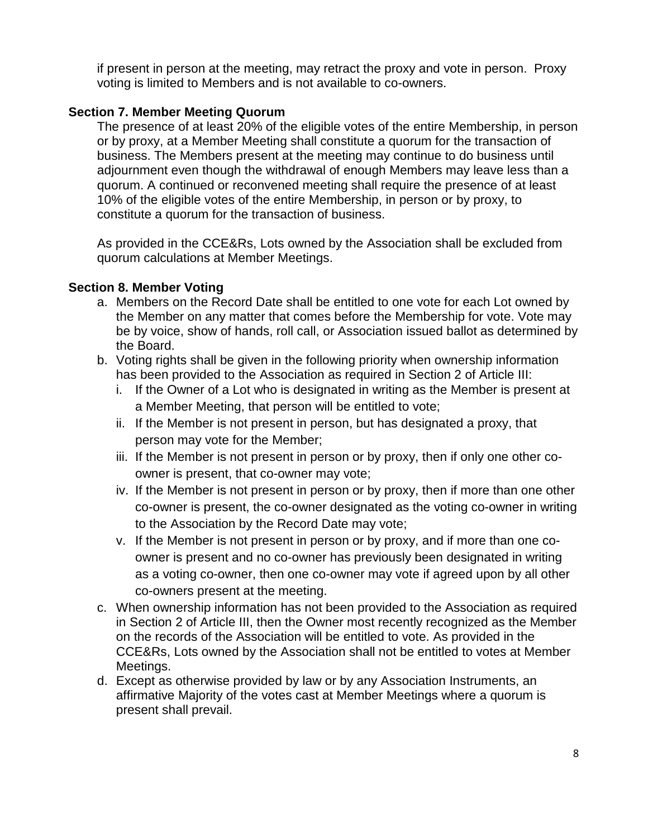if present in person at the meeting, may retract the proxy and vote in person. Proxy voting is limited to Members and is not available to co-owners.

## **Section 7. Member Meeting Quorum**

The presence of at least 20% of the eligible votes of the entire Membership, in person or by proxy, at a Member Meeting shall constitute a quorum for the transaction of business. The Members present at the meeting may continue to do business until adjournment even though the withdrawal of enough Members may leave less than a quorum. A continued or reconvened meeting shall require the presence of at least 10% of the eligible votes of the entire Membership, in person or by proxy, to constitute a quorum for the transaction of business.

As provided in the CCE&Rs, Lots owned by the Association shall be excluded from quorum calculations at Member Meetings.

## **Section 8. Member Voting**

- a. Members on the Record Date shall be entitled to one vote for each Lot owned by the Member on any matter that comes before the Membership for vote. Vote may be by voice, show of hands, roll call, or Association issued ballot as determined by the Board.
- b. Voting rights shall be given in the following priority when ownership information has been provided to the Association as required in Section 2 of Article III:
	- i. If the Owner of a Lot who is designated in writing as the Member is present at a Member Meeting, that person will be entitled to vote;
	- ii. If the Member is not present in person, but has designated a proxy, that person may vote for the Member;
	- iii. If the Member is not present in person or by proxy, then if only one other coowner is present, that co-owner may vote;
	- iv. If the Member is not present in person or by proxy, then if more than one other co-owner is present, the co-owner designated as the voting co-owner in writing to the Association by the Record Date may vote;
	- v. If the Member is not present in person or by proxy, and if more than one coowner is present and no co-owner has previously been designated in writing as a voting co-owner, then one co-owner may vote if agreed upon by all other co-owners present at the meeting.
- c. When ownership information has not been provided to the Association as required in Section 2 of Article III, then the Owner most recently recognized as the Member on the records of the Association will be entitled to vote. As provided in the CCE&Rs, Lots owned by the Association shall not be entitled to votes at Member Meetings.
- d. Except as otherwise provided by law or by any Association Instruments, an affirmative Majority of the votes cast at Member Meetings where a quorum is present shall prevail.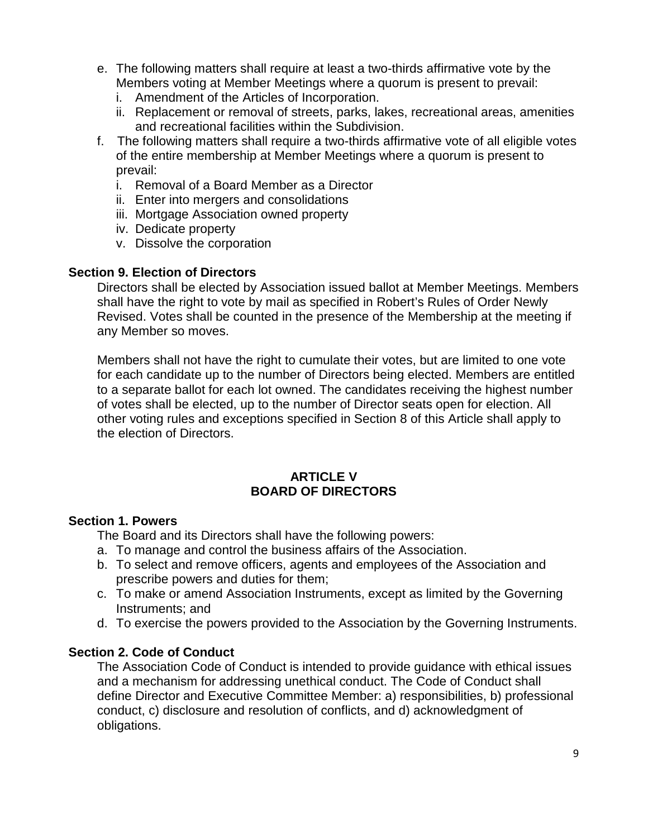- e. The following matters shall require at least a two-thirds affirmative vote by the Members voting at Member Meetings where a quorum is present to prevail:
	- i. Amendment of the Articles of Incorporation.
	- ii. Replacement or removal of streets, parks, lakes, recreational areas, amenities and recreational facilities within the Subdivision.
- f. The following matters shall require a two-thirds affirmative vote of all eligible votes of the entire membership at Member Meetings where a quorum is present to prevail:
	- i. Removal of a Board Member as a Director
	- ii. Enter into mergers and consolidations
	- iii. Mortgage Association owned property
	- iv. Dedicate property
	- v. Dissolve the corporation

### **Section 9. Election of Directors**

Directors shall be elected by Association issued ballot at Member Meetings. Members shall have the right to vote by mail as specified in Robert's Rules of Order Newly Revised. Votes shall be counted in the presence of the Membership at the meeting if any Member so moves.

Members shall not have the right to cumulate their votes, but are limited to one vote for each candidate up to the number of Directors being elected. Members are entitled to a separate ballot for each lot owned. The candidates receiving the highest number of votes shall be elected, up to the number of Director seats open for election. All other voting rules and exceptions specified in Section 8 of this Article shall apply to the election of Directors.

### **ARTICLE V BOARD OF DIRECTORS**

### **Section 1. Powers**

The Board and its Directors shall have the following powers:

- a. To manage and control the business affairs of the Association.
- b. To select and remove officers, agents and employees of the Association and prescribe powers and duties for them;
- c. To make or amend Association Instruments, except as limited by the Governing Instruments; and
- d. To exercise the powers provided to the Association by the Governing Instruments.

### **Section 2. Code of Conduct**

The Association Code of Conduct is intended to provide guidance with ethical issues and a mechanism for addressing unethical conduct. The Code of Conduct shall define Director and Executive Committee Member: a) responsibilities, b) professional conduct, c) disclosure and resolution of conflicts, and d) acknowledgment of obligations.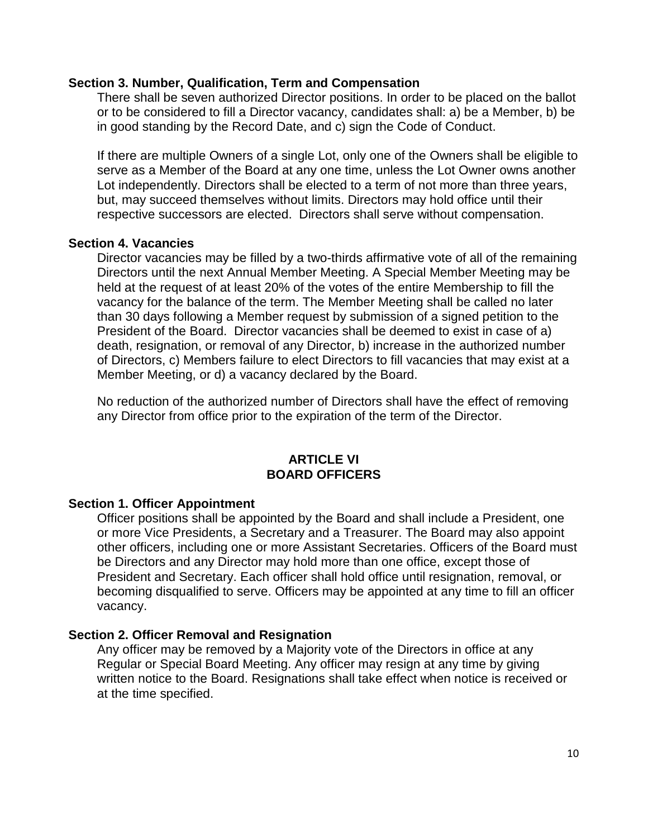### **Section 3. Number, Qualification, Term and Compensation**

There shall be seven authorized Director positions. In order to be placed on the ballot or to be considered to fill a Director vacancy, candidates shall: a) be a Member, b) be in good standing by the Record Date, and c) sign the Code of Conduct.

If there are multiple Owners of a single Lot, only one of the Owners shall be eligible to serve as a Member of the Board at any one time, unless the Lot Owner owns another Lot independently. Directors shall be elected to a term of not more than three years, but, may succeed themselves without limits. Directors may hold office until their respective successors are elected. Directors shall serve without compensation.

### **Section 4. Vacancies**

Director vacancies may be filled by a two-thirds affirmative vote of all of the remaining Directors until the next Annual Member Meeting. A Special Member Meeting may be held at the request of at least 20% of the votes of the entire Membership to fill the vacancy for the balance of the term. The Member Meeting shall be called no later than 30 days following a Member request by submission of a signed petition to the President of the Board. Director vacancies shall be deemed to exist in case of a) death, resignation, or removal of any Director, b) increase in the authorized number of Directors, c) Members failure to elect Directors to fill vacancies that may exist at a Member Meeting, or d) a vacancy declared by the Board.

No reduction of the authorized number of Directors shall have the effect of removing any Director from office prior to the expiration of the term of the Director.

### **ARTICLE VI BOARD OFFICERS**

### **Section 1. Officer Appointment**

Officer positions shall be appointed by the Board and shall include a President, one or more Vice Presidents, a Secretary and a Treasurer. The Board may also appoint other officers, including one or more Assistant Secretaries. Officers of the Board must be Directors and any Director may hold more than one office, except those of President and Secretary. Each officer shall hold office until resignation, removal, or becoming disqualified to serve. Officers may be appointed at any time to fill an officer vacancy.

### **Section 2. Officer Removal and Resignation**

Any officer may be removed by a Majority vote of the Directors in office at any Regular or Special Board Meeting. Any officer may resign at any time by giving written notice to the Board. Resignations shall take effect when notice is received or at the time specified.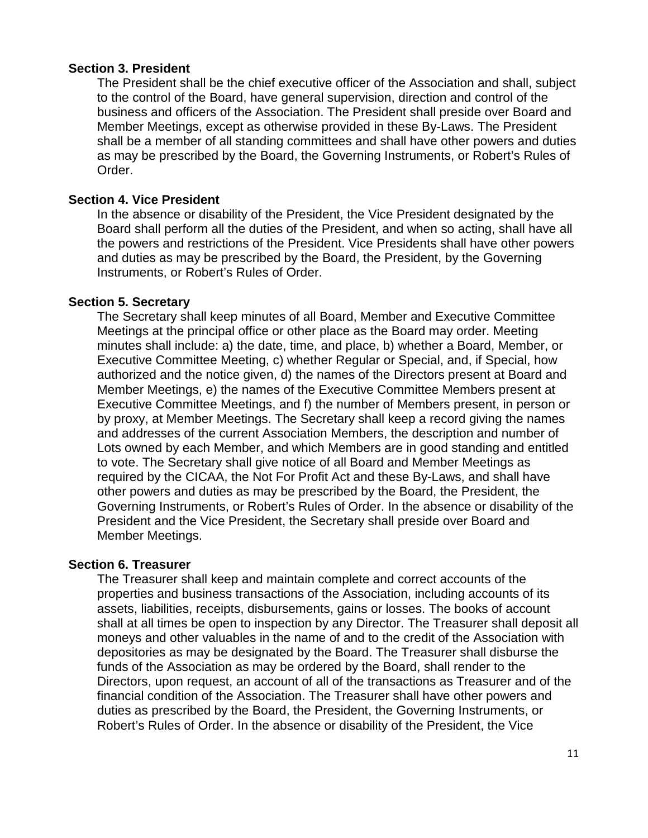### **Section 3. President**

The President shall be the chief executive officer of the Association and shall, subject to the control of the Board, have general supervision, direction and control of the business and officers of the Association. The President shall preside over Board and Member Meetings, except as otherwise provided in these By-Laws. The President shall be a member of all standing committees and shall have other powers and duties as may be prescribed by the Board, the Governing Instruments, or Robert's Rules of Order.

### **Section 4. Vice President**

In the absence or disability of the President, the Vice President designated by the Board shall perform all the duties of the President, and when so acting, shall have all the powers and restrictions of the President. Vice Presidents shall have other powers and duties as may be prescribed by the Board, the President, by the Governing Instruments, or Robert's Rules of Order.

### **Section 5. Secretary**

The Secretary shall keep minutes of all Board, Member and Executive Committee Meetings at the principal office or other place as the Board may order. Meeting minutes shall include: a) the date, time, and place, b) whether a Board, Member, or Executive Committee Meeting, c) whether Regular or Special, and, if Special, how authorized and the notice given, d) the names of the Directors present at Board and Member Meetings, e) the names of the Executive Committee Members present at Executive Committee Meetings, and f) the number of Members present, in person or by proxy, at Member Meetings. The Secretary shall keep a record giving the names and addresses of the current Association Members, the description and number of Lots owned by each Member, and which Members are in good standing and entitled to vote. The Secretary shall give notice of all Board and Member Meetings as required by the CICAA, the Not For Profit Act and these By-Laws, and shall have other powers and duties as may be prescribed by the Board, the President, the Governing Instruments, or Robert's Rules of Order. In the absence or disability of the President and the Vice President, the Secretary shall preside over Board and Member Meetings.

### **Section 6. Treasurer**

The Treasurer shall keep and maintain complete and correct accounts of the properties and business transactions of the Association, including accounts of its assets, liabilities, receipts, disbursements, gains or losses. The books of account shall at all times be open to inspection by any Director. The Treasurer shall deposit all moneys and other valuables in the name of and to the credit of the Association with depositories as may be designated by the Board. The Treasurer shall disburse the funds of the Association as may be ordered by the Board, shall render to the Directors, upon request, an account of all of the transactions as Treasurer and of the financial condition of the Association. The Treasurer shall have other powers and duties as prescribed by the Board, the President, the Governing Instruments, or Robert's Rules of Order. In the absence or disability of the President, the Vice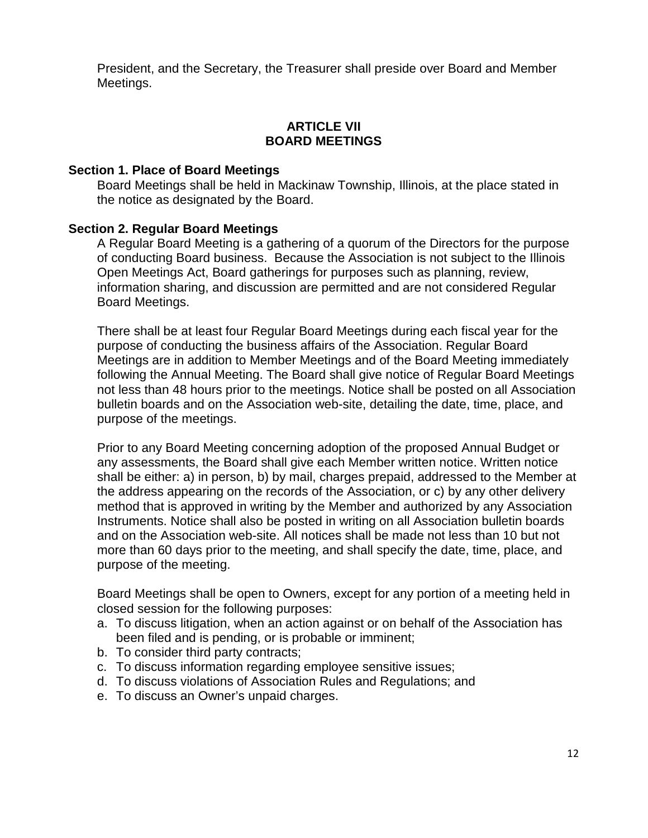President, and the Secretary, the Treasurer shall preside over Board and Member Meetings.

### **ARTICLE VII BOARD MEETINGS**

### **Section 1. Place of Board Meetings**

Board Meetings shall be held in Mackinaw Township, Illinois, at the place stated in the notice as designated by the Board.

### **Section 2. Regular Board Meetings**

A Regular Board Meeting is a gathering of a quorum of the Directors for the purpose of conducting Board business. Because the Association is not subject to the Illinois Open Meetings Act, Board gatherings for purposes such as planning, review, information sharing, and discussion are permitted and are not considered Regular Board Meetings.

There shall be at least four Regular Board Meetings during each fiscal year for the purpose of conducting the business affairs of the Association. Regular Board Meetings are in addition to Member Meetings and of the Board Meeting immediately following the Annual Meeting. The Board shall give notice of Regular Board Meetings not less than 48 hours prior to the meetings. Notice shall be posted on all Association bulletin boards and on the Association web-site, detailing the date, time, place, and purpose of the meetings.

Prior to any Board Meeting concerning adoption of the proposed Annual Budget or any assessments, the Board shall give each Member written notice. Written notice shall be either: a) in person, b) by mail, charges prepaid, addressed to the Member at the address appearing on the records of the Association, or c) by any other delivery method that is approved in writing by the Member and authorized by any Association Instruments. Notice shall also be posted in writing on all Association bulletin boards and on the Association web-site. All notices shall be made not less than 10 but not more than 60 days prior to the meeting, and shall specify the date, time, place, and purpose of the meeting.

Board Meetings shall be open to Owners, except for any portion of a meeting held in closed session for the following purposes:

- a. To discuss litigation, when an action against or on behalf of the Association has been filed and is pending, or is probable or imminent;
- b. To consider third party contracts;
- c. To discuss information regarding employee sensitive issues;
- d. To discuss violations of Association Rules and Regulations; and
- e. To discuss an Owner's unpaid charges.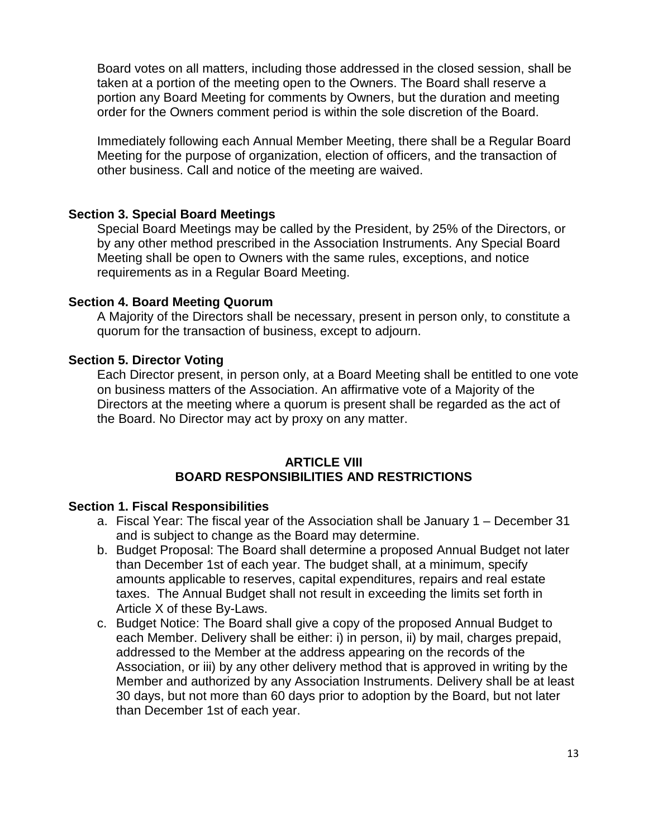Board votes on all matters, including those addressed in the closed session, shall be taken at a portion of the meeting open to the Owners. The Board shall reserve a portion any Board Meeting for comments by Owners, but the duration and meeting order for the Owners comment period is within the sole discretion of the Board.

Immediately following each Annual Member Meeting, there shall be a Regular Board Meeting for the purpose of organization, election of officers, and the transaction of other business. Call and notice of the meeting are waived.

### **Section 3. Special Board Meetings**

Special Board Meetings may be called by the President, by 25% of the Directors, or by any other method prescribed in the Association Instruments. Any Special Board Meeting shall be open to Owners with the same rules, exceptions, and notice requirements as in a Regular Board Meeting.

### **Section 4. Board Meeting Quorum**

A Majority of the Directors shall be necessary, present in person only, to constitute a quorum for the transaction of business, except to adjourn.

### **Section 5. Director Voting**

Each Director present, in person only, at a Board Meeting shall be entitled to one vote on business matters of the Association. An affirmative vote of a Majority of the Directors at the meeting where a quorum is present shall be regarded as the act of the Board. No Director may act by proxy on any matter.

### **ARTICLE VIII BOARD RESPONSIBILITIES AND RESTRICTIONS**

#### **Section 1. Fiscal Responsibilities**

- a. Fiscal Year: The fiscal year of the Association shall be January 1 December 31 and is subject to change as the Board may determine.
- b. Budget Proposal: The Board shall determine a proposed Annual Budget not later than December 1st of each year. The budget shall, at a minimum, specify amounts applicable to reserves, capital expenditures, repairs and real estate taxes. The Annual Budget shall not result in exceeding the limits set forth in Article X of these By-Laws.
- c. Budget Notice: The Board shall give a copy of the proposed Annual Budget to each Member. Delivery shall be either: i) in person, ii) by mail, charges prepaid, addressed to the Member at the address appearing on the records of the Association, or iii) by any other delivery method that is approved in writing by the Member and authorized by any Association Instruments. Delivery shall be at least 30 days, but not more than 60 days prior to adoption by the Board, but not later than December 1st of each year.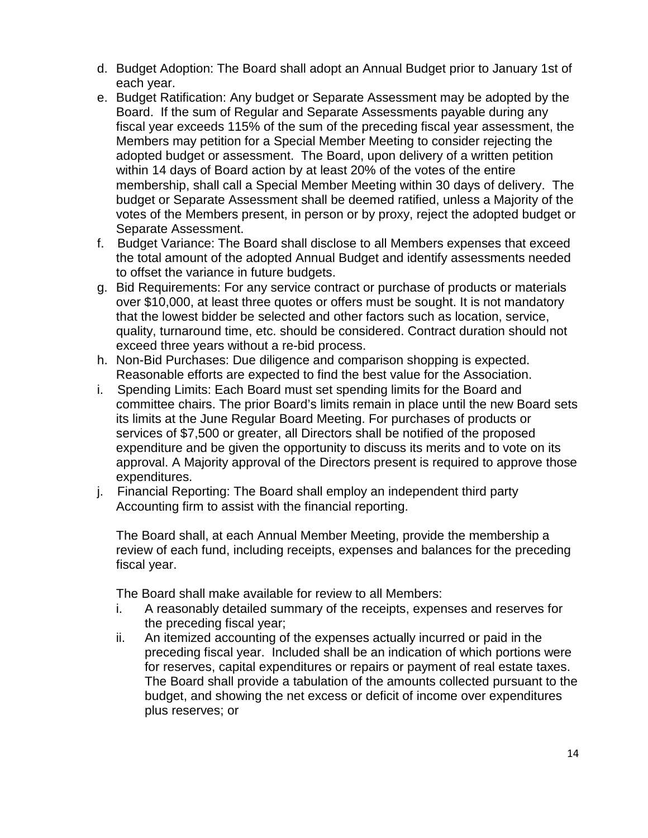- d. Budget Adoption: The Board shall adopt an Annual Budget prior to January 1st of each year.
- e. Budget Ratification: Any budget or Separate Assessment may be adopted by the Board. If the sum of Regular and Separate Assessments payable during any fiscal year exceeds 115% of the sum of the preceding fiscal year assessment, the Members may petition for a Special Member Meeting to consider rejecting the adopted budget or assessment. The Board, upon delivery of a written petition within 14 days of Board action by at least 20% of the votes of the entire membership, shall call a Special Member Meeting within 30 days of delivery. The budget or Separate Assessment shall be deemed ratified, unless a Majority of the votes of the Members present, in person or by proxy, reject the adopted budget or Separate Assessment.
- f. Budget Variance: The Board shall disclose to all Members expenses that exceed the total amount of the adopted Annual Budget and identify assessments needed to offset the variance in future budgets.
- g. Bid Requirements: For any service contract or purchase of products or materials over \$10,000, at least three quotes or offers must be sought. It is not mandatory that the lowest bidder be selected and other factors such as location, service, quality, turnaround time, etc. should be considered. Contract duration should not exceed three years without a re-bid process.
- h. Non-Bid Purchases: Due diligence and comparison shopping is expected. Reasonable efforts are expected to find the best value for the Association.
- i. Spending Limits: Each Board must set spending limits for the Board and committee chairs. The prior Board's limits remain in place until the new Board sets its limits at the June Regular Board Meeting. For purchases of products or services of \$7,500 or greater, all Directors shall be notified of the proposed expenditure and be given the opportunity to discuss its merits and to vote on its approval. A Majority approval of the Directors present is required to approve those expenditures.
- j. Financial Reporting: The Board shall employ an independent third party Accounting firm to assist with the financial reporting.

The Board shall, at each Annual Member Meeting, provide the membership a review of each fund, including receipts, expenses and balances for the preceding fiscal year.

The Board shall make available for review to all Members:

- i. A reasonably detailed summary of the receipts, expenses and reserves for the preceding fiscal year;
- ii. An itemized accounting of the expenses actually incurred or paid in the preceding fiscal year. Included shall be an indication of which portions were for reserves, capital expenditures or repairs or payment of real estate taxes. The Board shall provide a tabulation of the amounts collected pursuant to the budget, and showing the net excess or deficit of income over expenditures plus reserves; or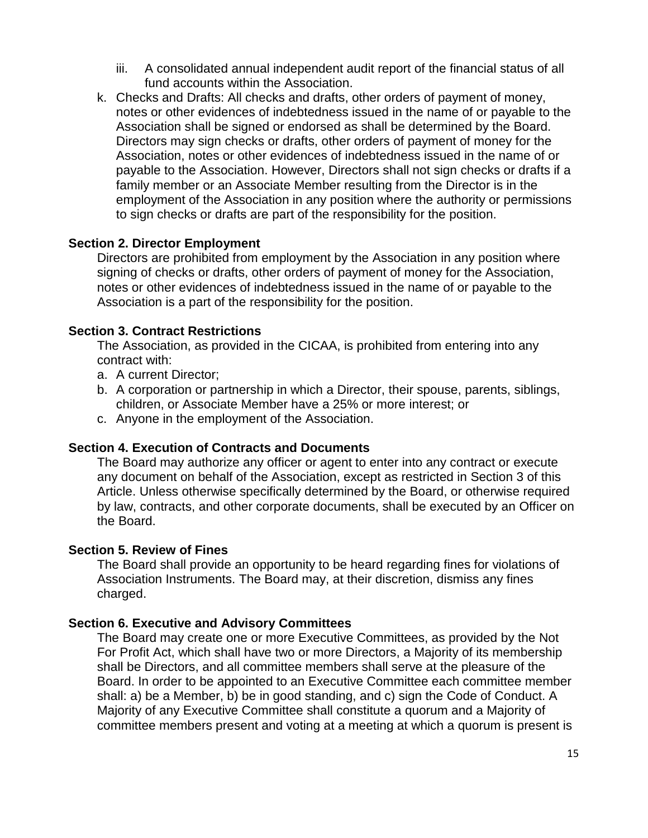- iii. A consolidated annual independent audit report of the financial status of all fund accounts within the Association.
- k. Checks and Drafts: All checks and drafts, other orders of payment of money, notes or other evidences of indebtedness issued in the name of or payable to the Association shall be signed or endorsed as shall be determined by the Board. Directors may sign checks or drafts, other orders of payment of money for the Association, notes or other evidences of indebtedness issued in the name of or payable to the Association. However, Directors shall not sign checks or drafts if a family member or an Associate Member resulting from the Director is in the employment of the Association in any position where the authority or permissions to sign checks or drafts are part of the responsibility for the position.

### **Section 2. Director Employment**

Directors are prohibited from employment by the Association in any position where signing of checks or drafts, other orders of payment of money for the Association, notes or other evidences of indebtedness issued in the name of or payable to the Association is a part of the responsibility for the position.

### **Section 3. Contract Restrictions**

The Association, as provided in the CICAA, is prohibited from entering into any contract with:

- a. A current Director;
- b. A corporation or partnership in which a Director, their spouse, parents, siblings, children, or Associate Member have a 25% or more interest; or
- c. Anyone in the employment of the Association.

### **Section 4. Execution of Contracts and Documents**

The Board may authorize any officer or agent to enter into any contract or execute any document on behalf of the Association, except as restricted in Section 3 of this Article. Unless otherwise specifically determined by the Board, or otherwise required by law, contracts, and other corporate documents, shall be executed by an Officer on the Board.

### **Section 5. Review of Fines**

The Board shall provide an opportunity to be heard regarding fines for violations of Association Instruments. The Board may, at their discretion, dismiss any fines charged.

### **Section 6. Executive and Advisory Committees**

The Board may create one or more Executive Committees, as provided by the Not For Profit Act, which shall have two or more Directors, a Majority of its membership shall be Directors, and all committee members shall serve at the pleasure of the Board. In order to be appointed to an Executive Committee each committee member shall: a) be a Member, b) be in good standing, and c) sign the Code of Conduct. A Majority of any Executive Committee shall constitute a quorum and a Majority of committee members present and voting at a meeting at which a quorum is present is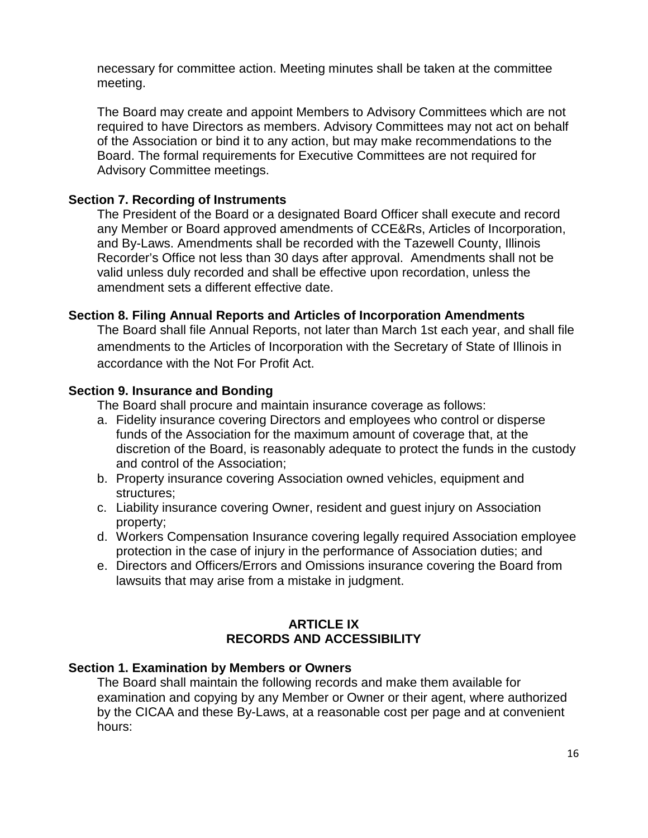necessary for committee action. Meeting minutes shall be taken at the committee meeting.

The Board may create and appoint Members to Advisory Committees which are not required to have Directors as members. Advisory Committees may not act on behalf of the Association or bind it to any action, but may make recommendations to the Board. The formal requirements for Executive Committees are not required for Advisory Committee meetings.

### **Section 7. Recording of Instruments**

The President of the Board or a designated Board Officer shall execute and record any Member or Board approved amendments of CCE&Rs, Articles of Incorporation, and By-Laws. Amendments shall be recorded with the Tazewell County, Illinois Recorder's Office not less than 30 days after approval. Amendments shall not be valid unless duly recorded and shall be effective upon recordation, unless the amendment sets a different effective date.

### **Section 8. Filing Annual Reports and Articles of Incorporation Amendments**

The Board shall file Annual Reports, not later than March 1st each year, and shall file amendments to the Articles of Incorporation with the Secretary of State of Illinois in accordance with the Not For Profit Act.

### **Section 9. Insurance and Bonding**

The Board shall procure and maintain insurance coverage as follows:

- a. Fidelity insurance covering Directors and employees who control or disperse funds of the Association for the maximum amount of coverage that, at the discretion of the Board, is reasonably adequate to protect the funds in the custody and control of the Association;
- b. Property insurance covering Association owned vehicles, equipment and structures;
- c. Liability insurance covering Owner, resident and guest injury on Association property;
- d. Workers Compensation Insurance covering legally required Association employee protection in the case of injury in the performance of Association duties; and
- e. Directors and Officers/Errors and Omissions insurance covering the Board from lawsuits that may arise from a mistake in judgment.

# **ARTICLE IX RECORDS AND ACCESSIBILITY**

### **Section 1. Examination by Members or Owners**

The Board shall maintain the following records and make them available for examination and copying by any Member or Owner or their agent, where authorized by the CICAA and these By-Laws, at a reasonable cost per page and at convenient hours: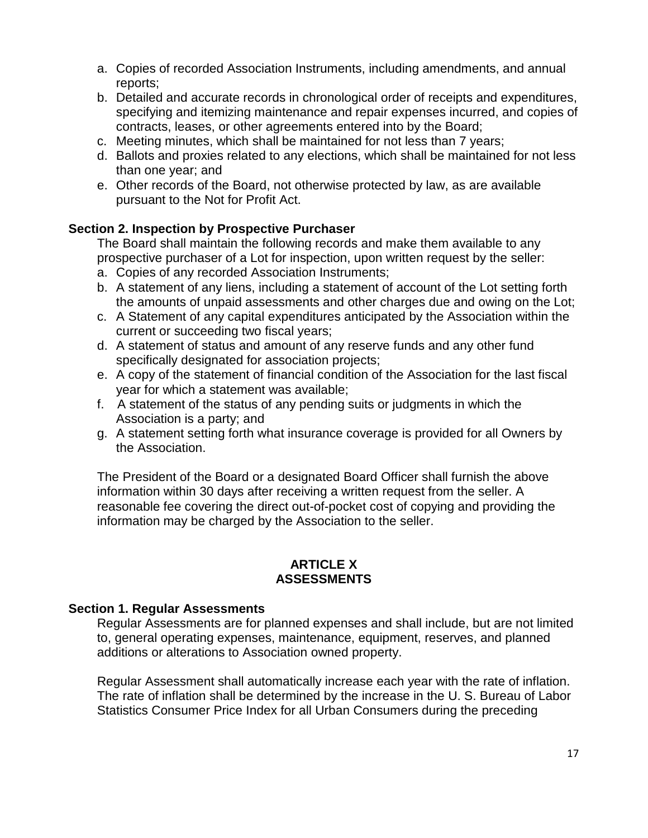- a. Copies of recorded Association Instruments, including amendments, and annual reports;
- b. Detailed and accurate records in chronological order of receipts and expenditures, specifying and itemizing maintenance and repair expenses incurred, and copies of contracts, leases, or other agreements entered into by the Board;
- c. Meeting minutes, which shall be maintained for not less than 7 years;
- d. Ballots and proxies related to any elections, which shall be maintained for not less than one year; and
- e. Other records of the Board, not otherwise protected by law, as are available pursuant to the Not for Profit Act.

## **Section 2. Inspection by Prospective Purchaser**

The Board shall maintain the following records and make them available to any prospective purchaser of a Lot for inspection, upon written request by the seller:

- a. Copies of any recorded Association Instruments;
- b. A statement of any liens, including a statement of account of the Lot setting forth the amounts of unpaid assessments and other charges due and owing on the Lot;
- c. A Statement of any capital expenditures anticipated by the Association within the current or succeeding two fiscal years;
- d. A statement of status and amount of any reserve funds and any other fund specifically designated for association projects;
- e. A copy of the statement of financial condition of the Association for the last fiscal year for which a statement was available;
- f. A statement of the status of any pending suits or judgments in which the Association is a party; and
- g. A statement setting forth what insurance coverage is provided for all Owners by the Association.

The President of the Board or a designated Board Officer shall furnish the above information within 30 days after receiving a written request from the seller. A reasonable fee covering the direct out-of-pocket cost of copying and providing the information may be charged by the Association to the seller.

# **ARTICLE X ASSESSMENTS**

### **Section 1. Regular Assessments**

Regular Assessments are for planned expenses and shall include, but are not limited to, general operating expenses, maintenance, equipment, reserves, and planned additions or alterations to Association owned property.

Regular Assessment shall automatically increase each year with the rate of inflation. The rate of inflation shall be determined by the increase in the U. S. Bureau of Labor Statistics Consumer Price Index for all Urban Consumers during the preceding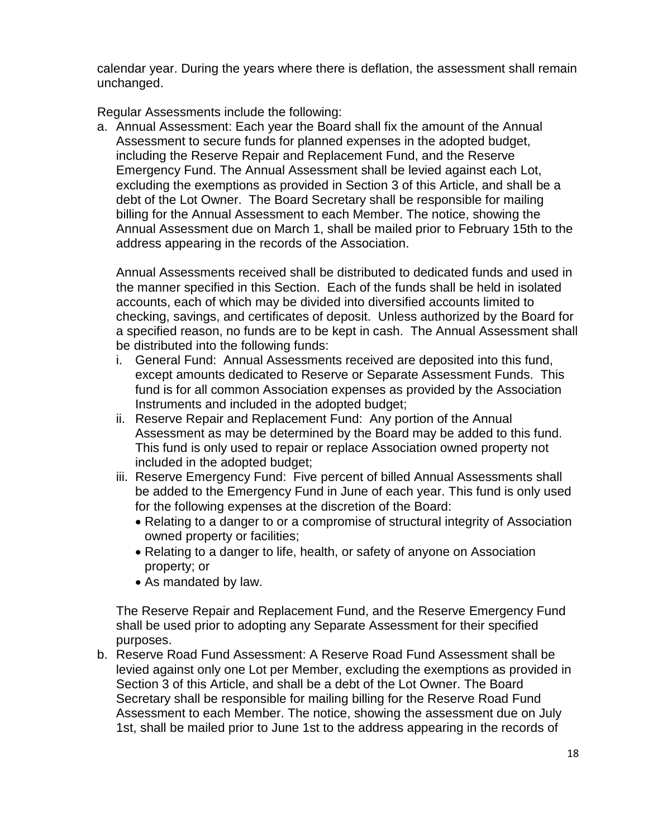calendar year. During the years where there is deflation, the assessment shall remain unchanged.

Regular Assessments include the following:

a. Annual Assessment: Each year the Board shall fix the amount of the Annual Assessment to secure funds for planned expenses in the adopted budget, including the Reserve Repair and Replacement Fund, and the Reserve Emergency Fund. The Annual Assessment shall be levied against each Lot, excluding the exemptions as provided in Section 3 of this Article, and shall be a debt of the Lot Owner. The Board Secretary shall be responsible for mailing billing for the Annual Assessment to each Member. The notice, showing the Annual Assessment due on March 1, shall be mailed prior to February 15th to the address appearing in the records of the Association.

Annual Assessments received shall be distributed to dedicated funds and used in the manner specified in this Section. Each of the funds shall be held in isolated accounts, each of which may be divided into diversified accounts limited to checking, savings, and certificates of deposit. Unless authorized by the Board for a specified reason, no funds are to be kept in cash. The Annual Assessment shall be distributed into the following funds:

- i. General Fund: Annual Assessments received are deposited into this fund, except amounts dedicated to Reserve or Separate Assessment Funds. This fund is for all common Association expenses as provided by the Association Instruments and included in the adopted budget;
- ii. Reserve Repair and Replacement Fund: Any portion of the Annual Assessment as may be determined by the Board may be added to this fund. This fund is only used to repair or replace Association owned property not included in the adopted budget;
- iii. Reserve Emergency Fund: Five percent of billed Annual Assessments shall be added to the Emergency Fund in June of each year. This fund is only used for the following expenses at the discretion of the Board:
	- Relating to a danger to or a compromise of structural integrity of Association owned property or facilities;
	- Relating to a danger to life, health, or safety of anyone on Association property; or
	- As mandated by law.

The Reserve Repair and Replacement Fund, and the Reserve Emergency Fund shall be used prior to adopting any Separate Assessment for their specified purposes.

b. Reserve Road Fund Assessment: A Reserve Road Fund Assessment shall be levied against only one Lot per Member, excluding the exemptions as provided in Section 3 of this Article, and shall be a debt of the Lot Owner. The Board Secretary shall be responsible for mailing billing for the Reserve Road Fund Assessment to each Member. The notice, showing the assessment due on July 1st, shall be mailed prior to June 1st to the address appearing in the records of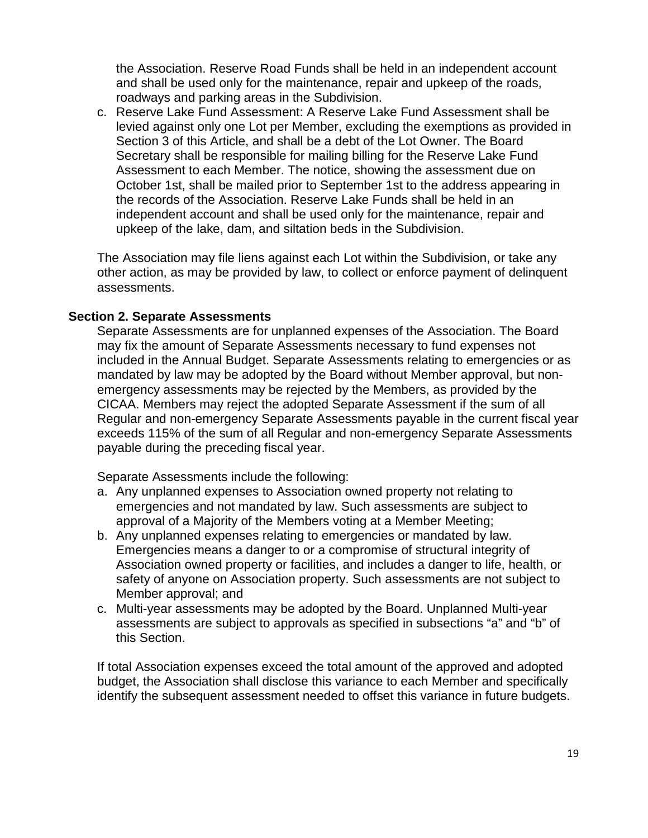the Association. Reserve Road Funds shall be held in an independent account and shall be used only for the maintenance, repair and upkeep of the roads, roadways and parking areas in the Subdivision.

c. Reserve Lake Fund Assessment: A Reserve Lake Fund Assessment shall be levied against only one Lot per Member, excluding the exemptions as provided in Section 3 of this Article, and shall be a debt of the Lot Owner. The Board Secretary shall be responsible for mailing billing for the Reserve Lake Fund Assessment to each Member. The notice, showing the assessment due on October 1st, shall be mailed prior to September 1st to the address appearing in the records of the Association. Reserve Lake Funds shall be held in an independent account and shall be used only for the maintenance, repair and upkeep of the lake, dam, and siltation beds in the Subdivision.

The Association may file liens against each Lot within the Subdivision, or take any other action, as may be provided by law, to collect or enforce payment of delinquent assessments.

### **Section 2. Separate Assessments**

Separate Assessments are for unplanned expenses of the Association. The Board may fix the amount of Separate Assessments necessary to fund expenses not included in the Annual Budget. Separate Assessments relating to emergencies or as mandated by law may be adopted by the Board without Member approval, but nonemergency assessments may be rejected by the Members, as provided by the CICAA. Members may reject the adopted Separate Assessment if the sum of all Regular and non-emergency Separate Assessments payable in the current fiscal year exceeds 115% of the sum of all Regular and non-emergency Separate Assessments payable during the preceding fiscal year.

Separate Assessments include the following:

- a. Any unplanned expenses to Association owned property not relating to emergencies and not mandated by law. Such assessments are subject to approval of a Majority of the Members voting at a Member Meeting;
- b. Any unplanned expenses relating to emergencies or mandated by law. Emergencies means a danger to or a compromise of structural integrity of Association owned property or facilities, and includes a danger to life, health, or safety of anyone on Association property. Such assessments are not subject to Member approval; and
- c. Multi-year assessments may be adopted by the Board. Unplanned Multi-year assessments are subject to approvals as specified in subsections "a" and "b" of this Section.

If total Association expenses exceed the total amount of the approved and adopted budget, the Association shall disclose this variance to each Member and specifically identify the subsequent assessment needed to offset this variance in future budgets.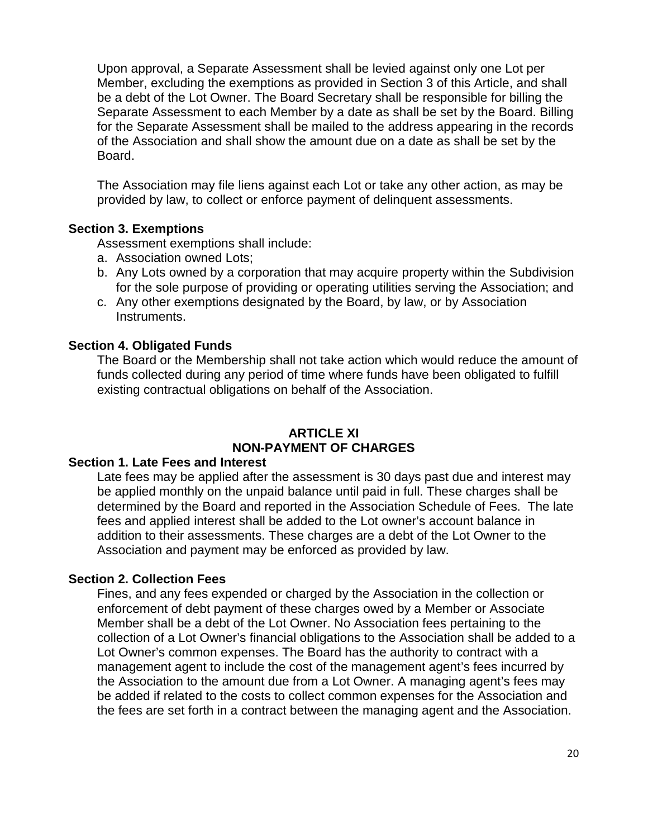Upon approval, a Separate Assessment shall be levied against only one Lot per Member, excluding the exemptions as provided in Section 3 of this Article, and shall be a debt of the Lot Owner. The Board Secretary shall be responsible for billing the Separate Assessment to each Member by a date as shall be set by the Board. Billing for the Separate Assessment shall be mailed to the address appearing in the records of the Association and shall show the amount due on a date as shall be set by the Board.

The Association may file liens against each Lot or take any other action, as may be provided by law, to collect or enforce payment of delinquent assessments.

### **Section 3. Exemptions**

Assessment exemptions shall include:

- a. Association owned Lots;
- b. Any Lots owned by a corporation that may acquire property within the Subdivision for the sole purpose of providing or operating utilities serving the Association; and
- c. Any other exemptions designated by the Board, by law, or by Association Instruments.

#### **Section 4. Obligated Funds**

The Board or the Membership shall not take action which would reduce the amount of funds collected during any period of time where funds have been obligated to fulfill existing contractual obligations on behalf of the Association.

### **ARTICLE XI NON-PAYMENT OF CHARGES**

#### **Section 1. Late Fees and Interest**

Late fees may be applied after the assessment is 30 days past due and interest may be applied monthly on the unpaid balance until paid in full. These charges shall be determined by the Board and reported in the Association Schedule of Fees. The late fees and applied interest shall be added to the Lot owner's account balance in addition to their assessments. These charges are a debt of the Lot Owner to the Association and payment may be enforced as provided by law.

#### **Section 2. Collection Fees**

Fines, and any fees expended or charged by the Association in the collection or enforcement of debt payment of these charges owed by a Member or Associate Member shall be a debt of the Lot Owner. No Association fees pertaining to the collection of a Lot Owner's financial obligations to the Association shall be added to a Lot Owner's common expenses. The Board has the authority to contract with a management agent to include the cost of the management agent's fees incurred by the Association to the amount due from a Lot Owner. A managing agent's fees may be added if related to the costs to collect common expenses for the Association and the fees are set forth in a contract between the managing agent and the Association.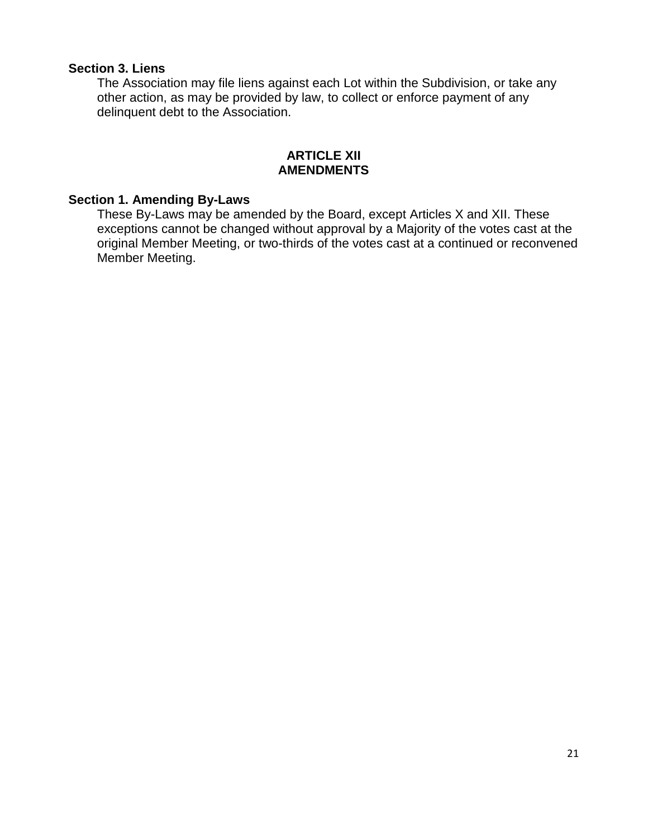### **Section 3. Liens**

The Association may file liens against each Lot within the Subdivision, or take any other action, as may be provided by law, to collect or enforce payment of any delinquent debt to the Association.

### **ARTICLE XII AMENDMENTS**

## **Section 1. Amending By-Laws**

These By-Laws may be amended by the Board, except Articles X and XII. These exceptions cannot be changed without approval by a Majority of the votes cast at the original Member Meeting, or two-thirds of the votes cast at a continued or reconvened Member Meeting.